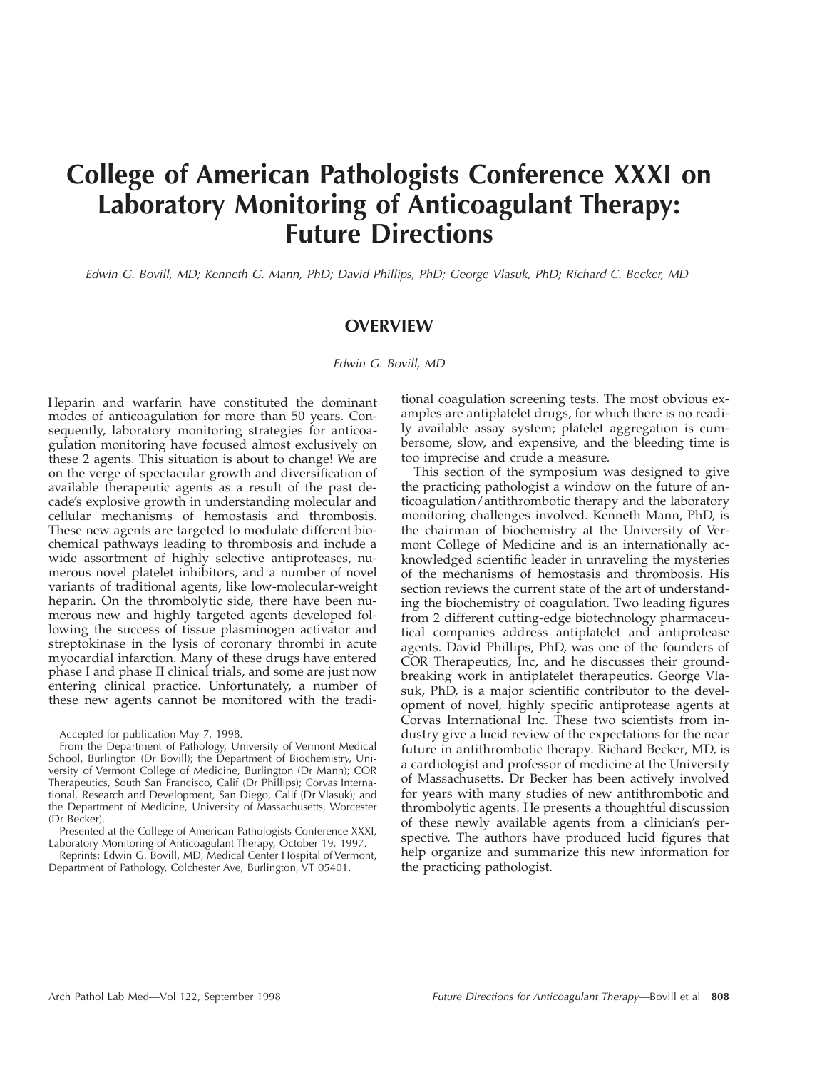# **College of American Pathologists Conference XXXI on Laboratory Monitoring of Anticoagulant Therapy: Future Directions**

Edwin G. Bovill, MD; Kenneth G. Mann, PhD; David Phillips, PhD; George Vlasuk, PhD; Richard C. Becker, MD

### **OVERVIEW**

Edwin G. Bovill, MD

Heparin and warfarin have constituted the dominant modes of anticoagulation for more than 50 years. Consequently, laboratory monitoring strategies for anticoagulation monitoring have focused almost exclusively on these 2 agents. This situation is about to change! We are on the verge of spectacular growth and diversification of available therapeutic agents as a result of the past decade's explosive growth in understanding molecular and cellular mechanisms of hemostasis and thrombosis. These new agents are targeted to modulate different biochemical pathways leading to thrombosis and include a wide assortment of highly selective antiproteases, numerous novel platelet inhibitors, and a number of novel variants of traditional agents, like low-molecular-weight heparin. On the thrombolytic side, there have been numerous new and highly targeted agents developed following the success of tissue plasminogen activator and streptokinase in the lysis of coronary thrombi in acute myocardial infarction. Many of these drugs have entered phase I and phase II clinical trials, and some are just now entering clinical practice. Unfortunately, a number of these new agents cannot be monitored with the traditional coagulation screening tests. The most obvious examples are antiplatelet drugs, for which there is no readily available assay system; platelet aggregation is cumbersome, slow, and expensive, and the bleeding time is too imprecise and crude a measure.

This section of the symposium was designed to give the practicing pathologist a window on the future of anticoagulation/antithrombotic therapy and the laboratory monitoring challenges involved. Kenneth Mann, PhD, is the chairman of biochemistry at the University of Vermont College of Medicine and is an internationally acknowledged scientific leader in unraveling the mysteries of the mechanisms of hemostasis and thrombosis. His section reviews the current state of the art of understanding the biochemistry of coagulation. Two leading figures from 2 different cutting-edge biotechnology pharmaceutical companies address antiplatelet and antiprotease agents. David Phillips, PhD, was one of the founders of COR Therapeutics, Inc, and he discusses their groundbreaking work in antiplatelet therapeutics. George Vlasuk, PhD, is a major scientific contributor to the development of novel, highly specific antiprotease agents at Corvas International Inc. These two scientists from industry give a lucid review of the expectations for the near future in antithrombotic therapy. Richard Becker, MD, is a cardiologist and professor of medicine at the University of Massachusetts. Dr Becker has been actively involved for years with many studies of new antithrombotic and thrombolytic agents. He presents a thoughtful discussion of these newly available agents from a clinician's perspective. The authors have produced lucid figures that help organize and summarize this new information for the practicing pathologist.

Accepted for publication May 7, 1998.

From the Department of Pathology, University of Vermont Medical School, Burlington (Dr Bovill); the Department of Biochemistry, University of Vermont College of Medicine, Burlington (Dr Mann); COR Therapeutics, South San Francisco, Calif (Dr Phillips); Corvas International, Research and Development, San Diego, Calif (Dr Vlasuk); and the Department of Medicine, University of Massachusetts, Worcester (Dr Becker).

Presented at the College of American Pathologists Conference XXXI, Laboratory Monitoring of Anticoagulant Therapy, October 19, 1997.

Reprints: Edwin G. Bovill, MD, Medical Center Hospital of Vermont, Department of Pathology, Colchester Ave, Burlington, VT 05401.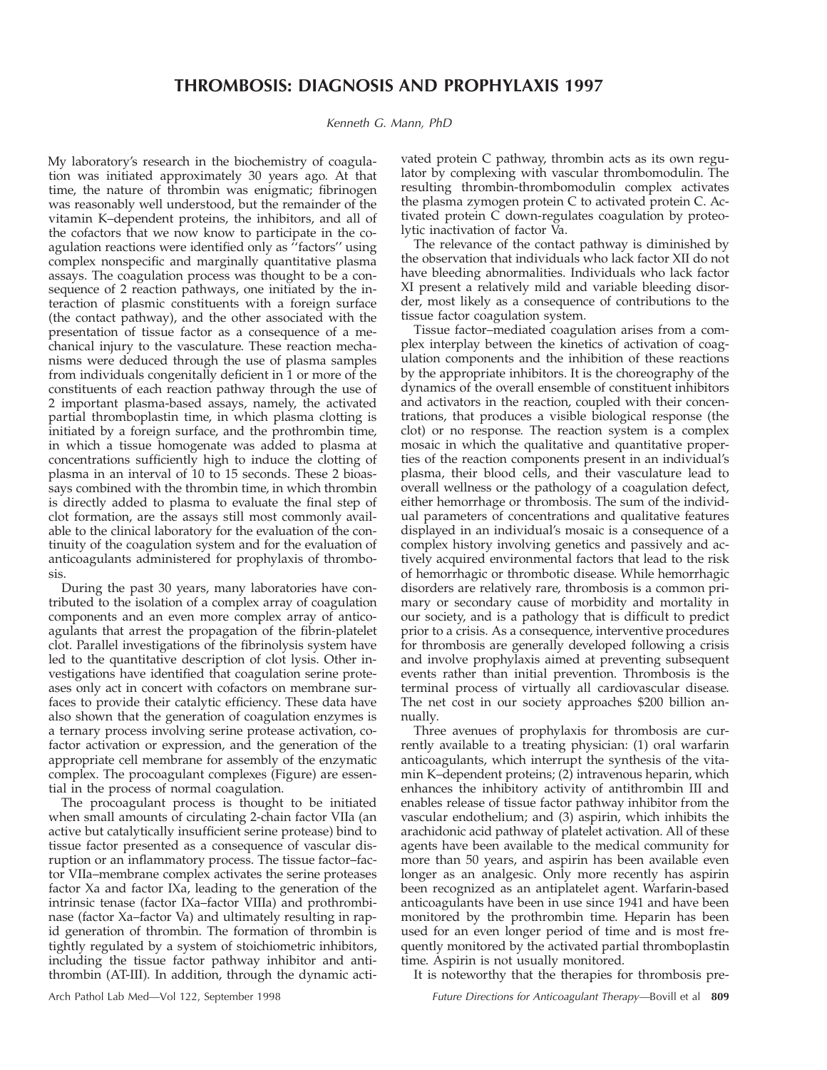Kenneth G. Mann, PhD

My laboratory's research in the biochemistry of coagulation was initiated approximately 30 years ago. At that time, the nature of thrombin was enigmatic; fibrinogen was reasonably well understood, but the remainder of the vitamin K–dependent proteins, the inhibitors, and all of the cofactors that we now know to participate in the coagulation reactions were identified only as ''factors'' using complex nonspecific and marginally quantitative plasma assays. The coagulation process was thought to be a consequence of 2 reaction pathways, one initiated by the interaction of plasmic constituents with a foreign surface (the contact pathway), and the other associated with the presentation of tissue factor as a consequence of a mechanical injury to the vasculature. These reaction mechanisms were deduced through the use of plasma samples from individuals congenitally deficient in 1 or more of the constituents of each reaction pathway through the use of 2 important plasma-based assays, namely, the activated partial thromboplastin time, in which plasma clotting is initiated by a foreign surface, and the prothrombin time, in which a tissue homogenate was added to plasma at concentrations sufficiently high to induce the clotting of plasma in an interval of 10 to 15 seconds. These 2 bioassays combined with the thrombin time, in which thrombin is directly added to plasma to evaluate the final step of clot formation, are the assays still most commonly available to the clinical laboratory for the evaluation of the continuity of the coagulation system and for the evaluation of anticoagulants administered for prophylaxis of thrombosis.

During the past 30 years, many laboratories have contributed to the isolation of a complex array of coagulation components and an even more complex array of anticoagulants that arrest the propagation of the fibrin-platelet clot. Parallel investigations of the fibrinolysis system have led to the quantitative description of clot lysis. Other investigations have identified that coagulation serine proteases only act in concert with cofactors on membrane surfaces to provide their catalytic efficiency. These data have also shown that the generation of coagulation enzymes is a ternary process involving serine protease activation, cofactor activation or expression, and the generation of the appropriate cell membrane for assembly of the enzymatic complex. The procoagulant complexes (Figure) are essential in the process of normal coagulation.

The procoagulant process is thought to be initiated when small amounts of circulating 2-chain factor VIIa (an active but catalytically insufficient serine protease) bind to tissue factor presented as a consequence of vascular disruption or an inflammatory process. The tissue factor–factor VIIa–membrane complex activates the serine proteases factor Xa and factor IXa, leading to the generation of the intrinsic tenase (factor IXa–factor VIIIa) and prothrombinase (factor Xa–factor Va) and ultimately resulting in rapid generation of thrombin. The formation of thrombin is tightly regulated by a system of stoichiometric inhibitors, including the tissue factor pathway inhibitor and antithrombin (AT-III). In addition, through the dynamic activated protein C pathway, thrombin acts as its own regulator by complexing with vascular thrombomodulin. The resulting thrombin-thrombomodulin complex activates the plasma zymogen protein C to activated protein C. Activated protein C down-regulates coagulation by proteolytic inactivation of factor Va.

The relevance of the contact pathway is diminished by the observation that individuals who lack factor XII do not have bleeding abnormalities. Individuals who lack factor XI present a relatively mild and variable bleeding disorder, most likely as a consequence of contributions to the tissue factor coagulation system.

Tissue factor–mediated coagulation arises from a complex interplay between the kinetics of activation of coagulation components and the inhibition of these reactions by the appropriate inhibitors. It is the choreography of the dynamics of the overall ensemble of constituent inhibitors and activators in the reaction, coupled with their concentrations, that produces a visible biological response (the clot) or no response. The reaction system is a complex mosaic in which the qualitative and quantitative properties of the reaction components present in an individual's plasma, their blood cells, and their vasculature lead to overall wellness or the pathology of a coagulation defect, either hemorrhage or thrombosis. The sum of the individual parameters of concentrations and qualitative features displayed in an individual's mosaic is a consequence of a complex history involving genetics and passively and actively acquired environmental factors that lead to the risk of hemorrhagic or thrombotic disease. While hemorrhagic disorders are relatively rare, thrombosis is a common primary or secondary cause of morbidity and mortality in our society, and is a pathology that is difficult to predict prior to a crisis. As a consequence, interventive procedures for thrombosis are generally developed following a crisis and involve prophylaxis aimed at preventing subsequent events rather than initial prevention. Thrombosis is the terminal process of virtually all cardiovascular disease. The net cost in our society approaches \$200 billion annually.

Three avenues of prophylaxis for thrombosis are currently available to a treating physician: (1) oral warfarin anticoagulants, which interrupt the synthesis of the vitamin K–dependent proteins; (2) intravenous heparin, which enhances the inhibitory activity of antithrombin III and enables release of tissue factor pathway inhibitor from the vascular endothelium; and (3) aspirin, which inhibits the arachidonic acid pathway of platelet activation. All of these agents have been available to the medical community for more than 50 years, and aspirin has been available even longer as an analgesic. Only more recently has aspirin been recognized as an antiplatelet agent. Warfarin-based anticoagulants have been in use since 1941 and have been monitored by the prothrombin time. Heparin has been used for an even longer period of time and is most frequently monitored by the activated partial thromboplastin time. Aspirin is not usually monitored.

It is noteworthy that the therapies for thrombosis pre-

Arch Pathol Lab Med—Vol 122, September 1998 Future Directions for Anticoagulant Therapy—Bovill et al **809**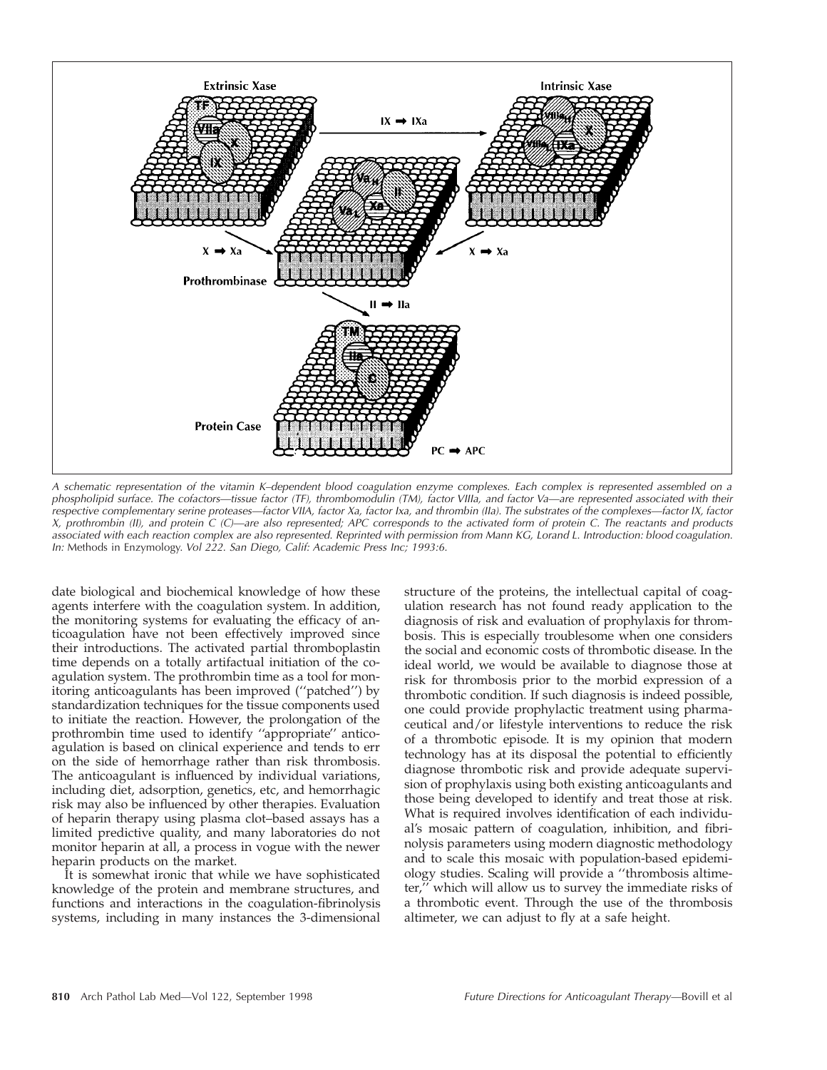

<sup>A</sup> schematic representation of the vitamin K–dependent blood coagulation enzyme complexes. Each complex is represented assembled on <sup>a</sup> phospholipid surface. The cofactors—tissue factor (TF), thrombomodulin (TM), factor VIIIa, and factor Va—are represented associated with their respective complementary serine proteases—factor VIIA, factor Xa, factor Ixa, and thrombin (IIa). The substrates of the complexes—factor IX, factor X, prothrombin (II), and protein <sup>C</sup> (C)—are also represented; APC corresponds to the activated form of protein C. The reactants and products associated with each reaction complex are also represented. Reprinted with permission from Mann KG, Lorand L. Introduction: blood coagulation. In: Methods in Enzymology. Vol 222. San Diego, Calif: Academic Press Inc; 1993:6.

date biological and biochemical knowledge of how these agents interfere with the coagulation system. In addition, the monitoring systems for evaluating the efficacy of anticoagulation have not been effectively improved since their introductions. The activated partial thromboplastin time depends on a totally artifactual initiation of the coagulation system. The prothrombin time as a tool for monitoring anticoagulants has been improved (''patched'') by standardization techniques for the tissue components used to initiate the reaction. However, the prolongation of the prothrombin time used to identify ''appropriate'' anticoagulation is based on clinical experience and tends to err on the side of hemorrhage rather than risk thrombosis. The anticoagulant is influenced by individual variations, including diet, adsorption, genetics, etc, and hemorrhagic risk may also be influenced by other therapies. Evaluation of heparin therapy using plasma clot–based assays has a limited predictive quality, and many laboratories do not monitor heparin at all, a process in vogue with the newer heparin products on the market.

It is somewhat ironic that while we have sophisticated knowledge of the protein and membrane structures, and functions and interactions in the coagulation-fibrinolysis systems, including in many instances the 3-dimensional structure of the proteins, the intellectual capital of coagulation research has not found ready application to the diagnosis of risk and evaluation of prophylaxis for thrombosis. This is especially troublesome when one considers the social and economic costs of thrombotic disease. In the ideal world, we would be available to diagnose those at risk for thrombosis prior to the morbid expression of a thrombotic condition. If such diagnosis is indeed possible, one could provide prophylactic treatment using pharmaceutical and/or lifestyle interventions to reduce the risk of a thrombotic episode. It is my opinion that modern technology has at its disposal the potential to efficiently diagnose thrombotic risk and provide adequate supervision of prophylaxis using both existing anticoagulants and those being developed to identify and treat those at risk. What is required involves identification of each individual's mosaic pattern of coagulation, inhibition, and fibrinolysis parameters using modern diagnostic methodology and to scale this mosaic with population-based epidemiology studies. Scaling will provide a ''thrombosis altimeter,'' which will allow us to survey the immediate risks of a thrombotic event. Through the use of the thrombosis altimeter, we can adjust to fly at a safe height.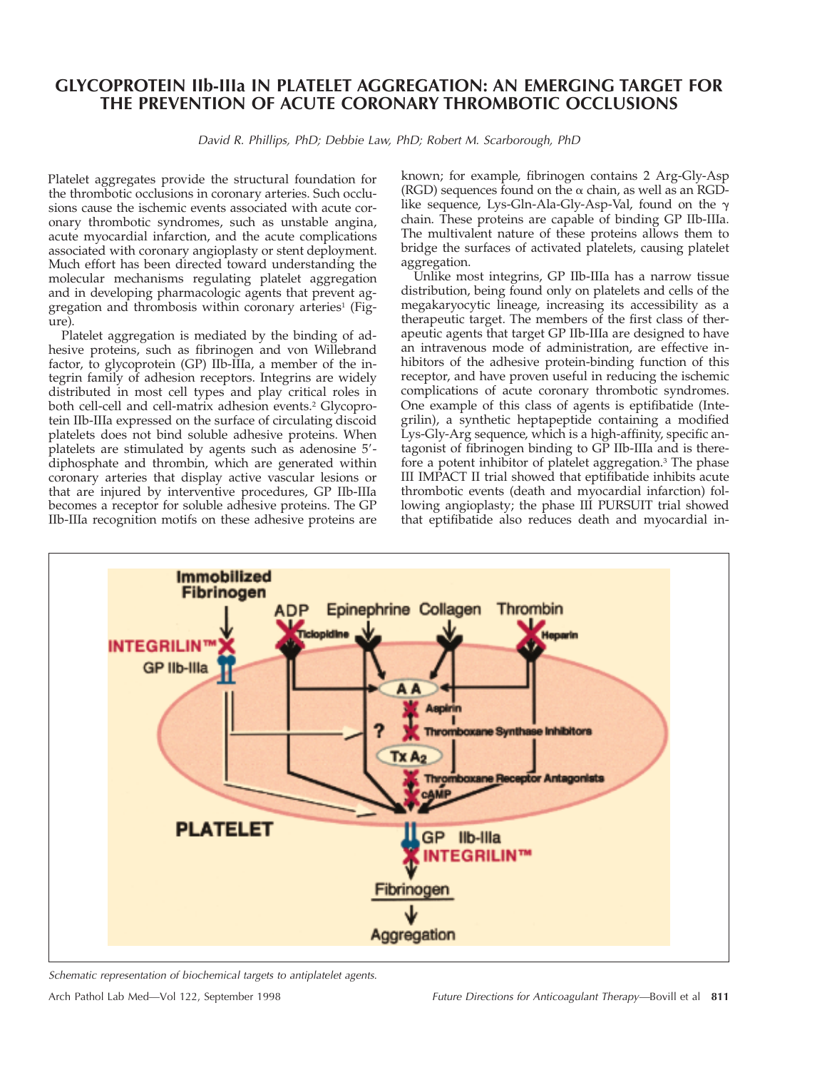# **GLYCOPROTEIN IIb-IIIa IN PLATELET AGGREGATION: AN EMERGING TARGET FOR THE PREVENTION OF ACUTE CORONARY THROMBOTIC OCCLUSIONS**

David R. Phillips, PhD; Debbie Law, PhD; Robert M. Scarborough, PhD

Platelet aggregates provide the structural foundation for the thrombotic occlusions in coronary arteries. Such occlusions cause the ischemic events associated with acute coronary thrombotic syndromes, such as unstable angina, acute myocardial infarction, and the acute complications associated with coronary angioplasty or stent deployment. Much effort has been directed toward understanding the molecular mechanisms regulating platelet aggregation and in developing pharmacologic agents that prevent aggregation and thrombosis within coronary arteries<sup>1</sup> (Figure).

Platelet aggregation is mediated by the binding of adhesive proteins, such as fibrinogen and von Willebrand factor, to glycoprotein (GP) IIb-IIIa, a member of the integrin family of adhesion receptors. Integrins are widely distributed in most cell types and play critical roles in both cell-cell and cell-matrix adhesion events.<sup>2</sup> Glycoprotein IIb-IIIa expressed on the surface of circulating discoid platelets does not bind soluble adhesive proteins. When platelets are stimulated by agents such as adenosine  $5'$ diphosphate and thrombin, which are generated within coronary arteries that display active vascular lesions or that are injured by interventive procedures, GP IIb-IIIa becomes a receptor for soluble adhesive proteins. The GP IIb-IIIa recognition motifs on these adhesive proteins are

known; for example, fibrinogen contains 2 Arg-Gly-Asp (RGD) sequences found on the  $\alpha$  chain, as well as an RGDlike sequence, Lys-Gln-Ala-Gly-Asp-Val, found on the  $\gamma$ chain. These proteins are capable of binding GP IIb-IIIa. The multivalent nature of these proteins allows them to bridge the surfaces of activated platelets, causing platelet aggregation.

Unlike most integrins, GP IIb-IIIa has a narrow tissue distribution, being found only on platelets and cells of the megakaryocytic lineage, increasing its accessibility as a therapeutic target. The members of the first class of therapeutic agents that target GP IIb-IIIa are designed to have an intravenous mode of administration, are effective inhibitors of the adhesive protein-binding function of this receptor, and have proven useful in reducing the ischemic complications of acute coronary thrombotic syndromes. One example of this class of agents is eptifibatide (Integrilin), a synthetic heptapeptide containing a modified Lys-Gly-Arg sequence, which is a high-affinity, specific antagonist of fibrinogen binding to GP IIb-IIIa and is therefore a potent inhibitor of platelet aggregation.<sup>3</sup> The phase III IMPACT II trial showed that eptifibatide inhibits acute thrombotic events (death and myocardial infarction) following angioplasty; the phase III PURSUIT trial showed that eptifibatide also reduces death and myocardial in-



Schematic representation of biochemical targets to antiplatelet agents.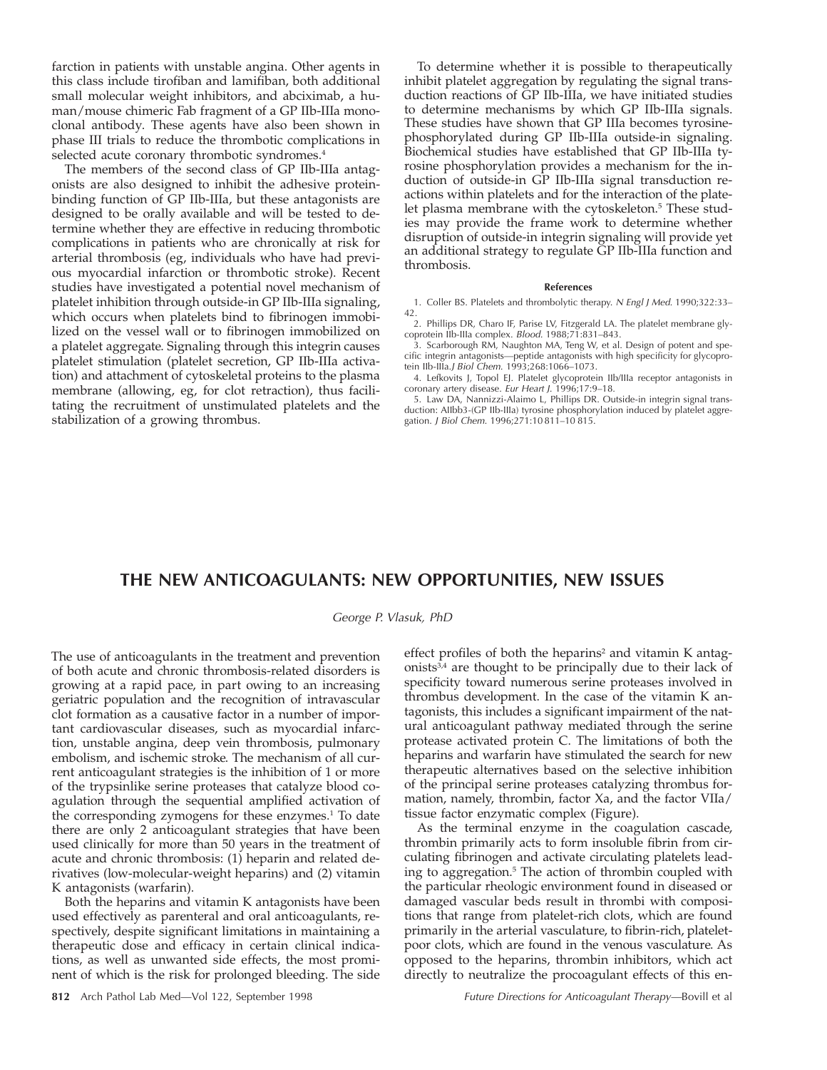farction in patients with unstable angina. Other agents in this class include tirofiban and lamifiban, both additional small molecular weight inhibitors, and abciximab, a human/mouse chimeric Fab fragment of a GP IIb-IIIa monoclonal antibody. These agents have also been shown in phase III trials to reduce the thrombotic complications in selected acute coronary thrombotic syndromes.<sup>4</sup>

The members of the second class of GP IIb-IIIa antagonists are also designed to inhibit the adhesive proteinbinding function of GP IIb-IIIa, but these antagonists are designed to be orally available and will be tested to determine whether they are effective in reducing thrombotic complications in patients who are chronically at risk for arterial thrombosis (eg, individuals who have had previous myocardial infarction or thrombotic stroke). Recent studies have investigated a potential novel mechanism of platelet inhibition through outside-in GP IIb-IIIa signaling, which occurs when platelets bind to fibrinogen immobilized on the vessel wall or to fibrinogen immobilized on a platelet aggregate. Signaling through this integrin causes platelet stimulation (platelet secretion, GP IIb-IIIa activation) and attachment of cytoskeletal proteins to the plasma membrane (allowing, eg, for clot retraction), thus facilitating the recruitment of unstimulated platelets and the stabilization of a growing thrombus.

To determine whether it is possible to therapeutically inhibit platelet aggregation by regulating the signal transduction reactions of GP IIb-IIIa, we have initiated studies to determine mechanisms by which GP IIb-IIIa signals. These studies have shown that GP IIIa becomes tyrosinephosphorylated during GP IIb-IIIa outside-in signaling. Biochemical studies have established that GP IIb-IIIa tyrosine phosphorylation provides a mechanism for the induction of outside-in GP IIb-IIIa signal transduction reactions within platelets and for the interaction of the platelet plasma membrane with the cytoskeleton.<sup>5</sup> These studies may provide the frame work to determine whether disruption of outside-in integrin signaling will provide yet an additional strategy to regulate GP IIb-IIIa function and thrombosis.

#### **References**

1. Coller BS. Platelets and thrombolytic therapy. <sup>N</sup> Engl J Med. 1990;322:33– 42.

2. Phillips DR, Charo IF, Parise LV, Fitzgerald LA. The platelet membrane glycoprotein IIb-IIIa complex. Blood. 1988;71:831–843.

3. Scarborough RM, Naughton MA, Teng W, et al. Design of potent and specific integrin antagonists—peptide antagonists with high specificity for glycopro-tein IIb-IIIa.J Biol Chem. 1993;268:1066–1073.

4. Lefkovits J, Topol EJ. Platelet glycoprotein IIb/IIIa receptor antagonists in coronary artery disease. Eur Heart J. 1996;17:9–18.

5. Law DA, Nannizzi-Alaimo L, Phillips DR. Outside-in integrin signal transduction: AIIbb3-(GP IIb-IIIa) tyrosine phosphorylation induced by platelet aggregation. J Biol Chem. 1996;271:10 811–10 815.

## **THE NEW ANTICOAGULANTS: NEW OPPORTUNITIES, NEW ISSUES**

#### George P. Vlasuk, PhD

The use of anticoagulants in the treatment and prevention of both acute and chronic thrombosis-related disorders is growing at a rapid pace, in part owing to an increasing geriatric population and the recognition of intravascular clot formation as a causative factor in a number of important cardiovascular diseases, such as myocardial infarction, unstable angina, deep vein thrombosis, pulmonary embolism, and ischemic stroke. The mechanism of all current anticoagulant strategies is the inhibition of 1 or more of the trypsinlike serine proteases that catalyze blood coagulation through the sequential amplified activation of the corresponding zymogens for these enzymes.<sup>1</sup> To date there are only 2 anticoagulant strategies that have been used clinically for more than 50 years in the treatment of acute and chronic thrombosis: (1) heparin and related derivatives (low-molecular-weight heparins) and (2) vitamin K antagonists (warfarin).

Both the heparins and vitamin K antagonists have been used effectively as parenteral and oral anticoagulants, respectively, despite significant limitations in maintaining a therapeutic dose and efficacy in certain clinical indications, as well as unwanted side effects, the most prominent of which is the risk for prolonged bleeding. The side

effect profiles of both the heparins<sup>2</sup> and vitamin K antagonists3,4 are thought to be principally due to their lack of specificity toward numerous serine proteases involved in thrombus development. In the case of the vitamin K antagonists, this includes a significant impairment of the natural anticoagulant pathway mediated through the serine protease activated protein C. The limitations of both the heparins and warfarin have stimulated the search for new therapeutic alternatives based on the selective inhibition of the principal serine proteases catalyzing thrombus formation, namely, thrombin, factor Xa, and the factor VIIa/ tissue factor enzymatic complex (Figure).

As the terminal enzyme in the coagulation cascade, thrombin primarily acts to form insoluble fibrin from circulating fibrinogen and activate circulating platelets leading to aggregation.5 The action of thrombin coupled with the particular rheologic environment found in diseased or damaged vascular beds result in thrombi with compositions that range from platelet-rich clots, which are found primarily in the arterial vasculature, to fibrin-rich, plateletpoor clots, which are found in the venous vasculature. As opposed to the heparins, thrombin inhibitors, which act directly to neutralize the procoagulant effects of this en-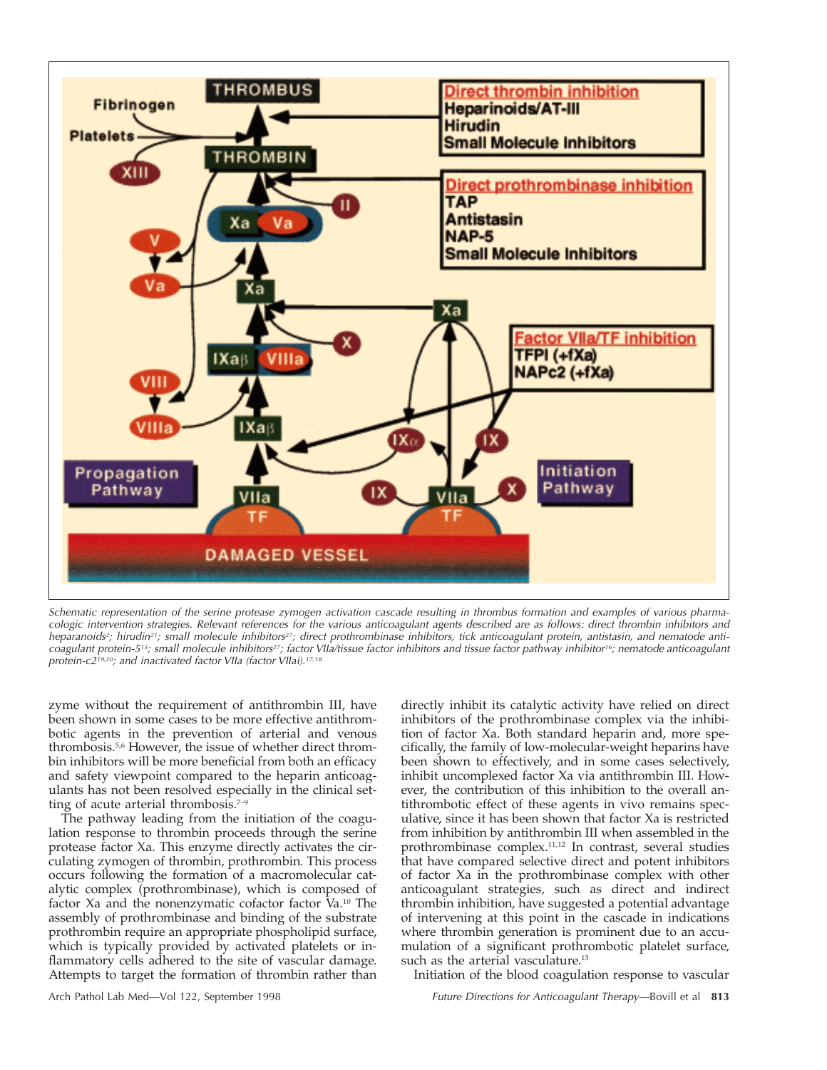

Schematic representation of the serine protease zymogen activation cascade resulting in thrombus formation and examples of various pharmacologic intervention strategies. Relevant references for the various anticoagulant agents described are as follows: direct thrombin inhibitors and heparanoids<sup>2</sup>; hirudin<sup>21</sup>; small molecule inhibitors<sup>27</sup>; direct prothrombinase inhibitors, tick anticoagulant protein, antistasin, and nematode anticoagulant protein-5<sup>13</sup>; small molecule inhibitors<sup>27</sup>; factor VIIa/tissue factor inhibitors and tissue factor pathway inhibitor<sup>16</sup>; nematode anticoagulant protein-c2<sup>19,20</sup>; and inactivated factor VIIa (factor VIIai).<sup>17,18</sup>

zyme without the requirement of antithrombin III, have been shown in some cases to be more effective antithrombotic agents in the prevention of arterial and venous thrombosis.<sup>5,6</sup> However, the issue of whether direct thrombin inhibitors will be more beneficial from both an efficacy and safety viewpoint compared to the heparin anticoagulants has not been resolved especially in the clinical setting of acute arterial thrombosis.<sup>7-9</sup>

The pathway leading from the initiation of the coagulation response to thrombin proceeds through the serine protease factor Xa. This enzyme directly activates the circulating zymogen of thrombin, prothrombin. This process occurs following the formation of a macromolecular catalytic complex (prothrombinase), which is composed of factor Xa and the nonenzymatic cofactor factor Va.10 The assembly of prothrombinase and binding of the substrate prothrombin require an appropriate phospholipid surface, which is typically provided by activated platelets or inflammatory cells adhered to the site of vascular damage. Attempts to target the formation of thrombin rather than

directly inhibit its catalytic activity have relied on direct inhibitors of the prothrombinase complex via the inhibition of factor Xa. Both standard heparin and, more specifically, the family of low-molecular-weight heparins have been shown to effectively, and in some cases selectively, inhibit uncomplexed factor Xa via antithrombin III. However, the contribution of this inhibition to the overall antithrombotic effect of these agents in vivo remains speculative, since it has been shown that factor Xa is restricted from inhibition by antithrombin III when assembled in the prothrombinase complex.11,12 In contrast, several studies that have compared selective direct and potent inhibitors of factor Xa in the prothrombinase complex with other anticoagulant strategies, such as direct and indirect thrombin inhibition, have suggested a potential advantage of intervening at this point in the cascade in indications where thrombin generation is prominent due to an accumulation of a significant prothrombotic platelet surface, such as the arterial vasculature.<sup>13</sup>

Initiation of the blood coagulation response to vascular

Arch Pathol Lab Med—Vol 122, September 1998 Future Directions for Anticoagulant Therapy—Bovill et al **813**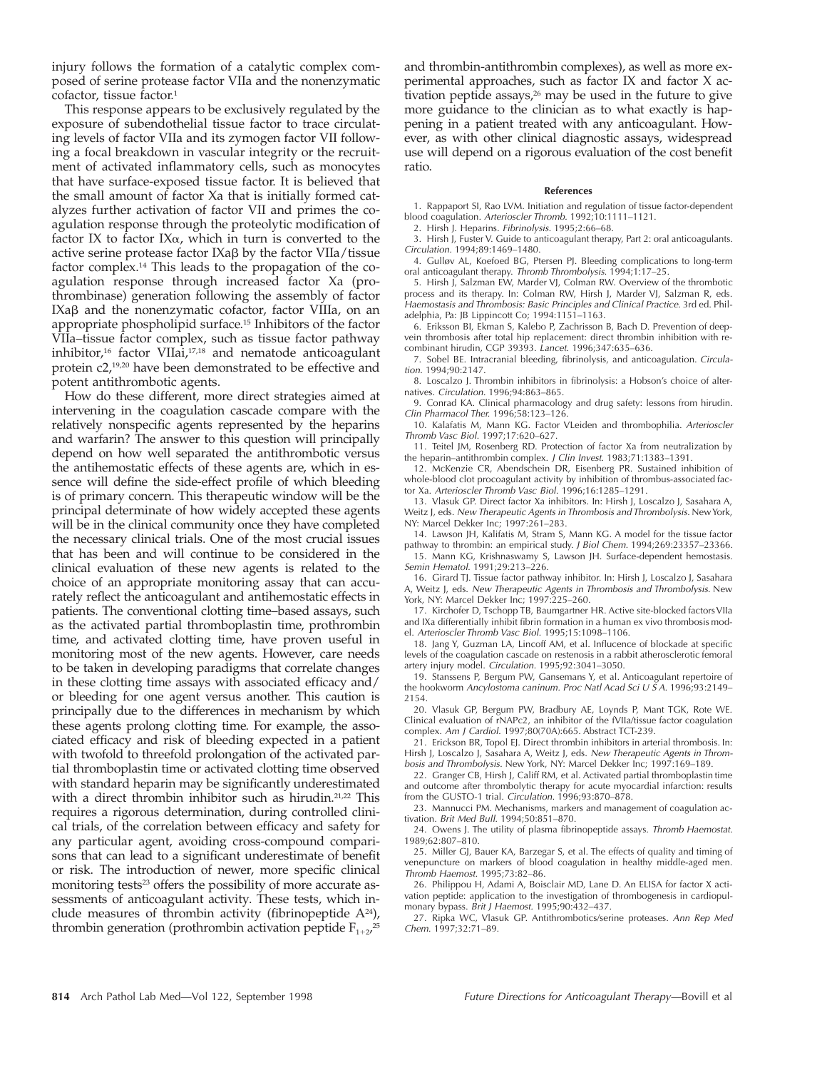injury follows the formation of a catalytic complex composed of serine protease factor VIIa and the nonenzymatic cofactor, tissue factor.<sup>1</sup>

This response appears to be exclusively regulated by the exposure of subendothelial tissue factor to trace circulating levels of factor VIIa and its zymogen factor VII following a focal breakdown in vascular integrity or the recruitment of activated inflammatory cells, such as monocytes that have surface-exposed tissue factor. It is believed that the small amount of factor Xa that is initially formed catalyzes further activation of factor VII and primes the coagulation response through the proteolytic modification of factor IX to factor IX $\alpha$ , which in turn is converted to the active serine protease factor  $IXa\beta$  by the factor  $VIIa/t$  issue factor complex.14 This leads to the propagation of the coagulation response through increased factor Xa (prothrombinase) generation following the assembly of factor IXa $\beta$  and the nonenzymatic cofactor, factor VIIIa, on an appropriate phospholipid surface.15 Inhibitors of the factor VIIa–tissue factor complex, such as tissue factor pathway inhibitor,<sup>16</sup> factor VIIai,<sup>17,18</sup> and nematode anticoagulant protein c2,19,20 have been demonstrated to be effective and potent antithrombotic agents.

How do these different, more direct strategies aimed at intervening in the coagulation cascade compare with the relatively nonspecific agents represented by the heparins and warfarin? The answer to this question will principally depend on how well separated the antithrombotic versus the antihemostatic effects of these agents are, which in essence will define the side-effect profile of which bleeding is of primary concern. This therapeutic window will be the principal determinate of how widely accepted these agents will be in the clinical community once they have completed the necessary clinical trials. One of the most crucial issues that has been and will continue to be considered in the clinical evaluation of these new agents is related to the choice of an appropriate monitoring assay that can accurately reflect the anticoagulant and antihemostatic effects in patients. The conventional clotting time–based assays, such as the activated partial thromboplastin time, prothrombin time, and activated clotting time, have proven useful in monitoring most of the new agents. However, care needs to be taken in developing paradigms that correlate changes in these clotting time assays with associated efficacy and/ or bleeding for one agent versus another. This caution is principally due to the differences in mechanism by which these agents prolong clotting time. For example, the associated efficacy and risk of bleeding expected in a patient with twofold to threefold prolongation of the activated partial thromboplastin time or activated clotting time observed with standard heparin may be significantly underestimated with a direct thrombin inhibitor such as hirudin.<sup>21,22</sup> This requires a rigorous determination, during controlled clinical trials, of the correlation between efficacy and safety for any particular agent, avoiding cross-compound comparisons that can lead to a significant underestimate of benefit or risk. The introduction of newer, more specific clinical monitoring tests<sup>23</sup> offers the possibility of more accurate assessments of anticoagulant activity. These tests, which include measures of thrombin activity (fibrinopeptide  $A^{24}$ ), thrombin generation (prothrombin activation peptide  $F_{1+2}$ <sup>25</sup>

and thrombin-antithrombin complexes), as well as more experimental approaches, such as factor IX and factor X activation peptide assays, $26$  may be used in the future to give more guidance to the clinician as to what exactly is happening in a patient treated with any anticoagulant. However, as with other clinical diagnostic assays, widespread use will depend on a rigorous evaluation of the cost benefit ratio.

#### **References**

1. Rappaport SI, Rao LVM. Initiation and regulation of tissue factor-dependent blood coagulation. Arterioscler Thromb. 1992;10:1111–1121.

2. Hirsh J. Heparins. Fibrinolysis. 1995;2:66–68.

3. Hirsh J, Fuster V. Guide to anticoagulant therapy, Part 2: oral anticoagulants. Circulation. 1994;89:1469–1480.

4. Gulløv AL, Koefoed BG, Ptersen PJ. Bleeding complications to long-term oral anticoagulant therapy. Thromb Thrombolysis. 1994;1:17–25.

5. Hirsh J, Salzman EW, Marder VJ, Colman RW. Overview of the thrombotic process and its therapy. In: Colman RW, Hirsh J, Marder VJ, Salzman R, eds. Haemostasis and Thrombosis: Basic Principles and Clinical Practice. 3rd ed. Philadelphia, Pa: JB Lippincott Co; 1994:1151–1163.

6. Eriksson BI, Ekman S, Kalebo P, Zachrisson B, Bach D. Prevention of deepvein thrombosis after total hip replacement: direct thrombin inhibition with recombinant hirudin, CGP 39393. Lancet. 1996;347:635–636.

7. Sobel BE. Intracranial bleeding, fibrinolysis, and anticoagulation. Circulation. 1994;90:2147.

8. Loscalzo J. Thrombin inhibitors in fibrinolysis: a Hobson's choice of alternatives. Circulation. 1996;94:863–865.

9. Conrad KA. Clinical pharmacology and drug safety: lessons from hirudin. Clin Pharmacol Ther. 1996;58:123–126.

10. Kalafatis M, Mann KG. Factor VLeiden and thrombophilia. Arterioscler Thromb Vasc Biol. 1997;17:620–627.

11. Teitel JM, Rosenberg RD. Protection of factor Xa from neutralization by the heparin–antithrombin complex. J Clin Invest. 1983;71:1383–1391.

12. McKenzie CR, Abendschein DR, Eisenberg PR. Sustained inhibition of whole-blood clot procoagulant activity by inhibition of thrombus-associated factor Xa. Arterioscler Thromb Vasc Biol. 1996;16:1285–1291.

13. Vlasuk GP. Direct factor Xa inhibitors. In: Hirsh J, Loscalzo J, Sasahara A, Weitz J, eds. New Therapeutic Agents in Thrombosis and Thrombolysis. New York, NY: Marcel Dekker Inc; 1997:261–283.

14. Lawson JH, Kalifatis M, Stram S, Mann KG. A model for the tissue factor pathway to thrombin: an empirical study. J Biol Chem. 1994;269:23357–23366. 15. Mann KG, Krishnaswamy S, Lawson JH. Surface-dependent hemostasis.

Semin Hematol. 1991;29:213–226. 16. Girard TJ. Tissue factor pathway inhibitor. In: Hirsh J, Loscalzo J, Sasahara

A, Weitz J, eds. New Therapeutic Agents in Thrombosis and Thrombolysis. New York, NY: Marcel Dekker Inc; 1997:225–260.

17. Kirchofer D, Tschopp TB, Baumgartner HR. Active site-blocked factors VIIa and IXa differentially inhibit fibrin formation in a human ex vivo thrombosis model. Arterioscler Thromb Vasc Biol. 1995;15:1098–1106.

18. Jang Y, Guzman LA, Lincoff AM, et al. Influcence of blockade at specific levels of the coagulation cascade on restenosis in a rabbit atherosclerotic femoral artery injury model. Circulation. 1995;92:3041–3050.

19. Stanssens P, Bergum PW, Gansemans Y, et al. Anticoagulant repertoire of the hookworm Ancylostoma caninum. Proc Natl Acad Sci U  $\overline{S}$  A. 1996;93:2149– 2154.

20. Vlasuk GP, Bergum PW, Bradbury AE, Loynds P, Mant TGK, Rote WE. Clinical evaluation of rNAPc2, an inhibitor of the fVIIa/tissue factor coagulation complex. Am J Cardiol. 1997;80(70A):665. Abstract TCT-239.

21. Erickson BR, Topol EJ. Direct thrombin inhibitors in arterial thrombosis. In: Hirsh J, Loscalzo J, Sasahara A, Weitz J, eds. New Therapeutic Agents in Thrombosis and Thrombolysis. New York, NY: Marcel Dekker Inc; 1997:169–189.

22. Granger CB, Hirsh J, Califf RM, et al. Activated partial thromboplastin time and outcome after thrombolytic therapy for acute myocardial infarction: results from the GUSTO-1 trial. Circulation. 1996;93:870–878.

23. Mannucci PM. Mechanisms, markers and management of coagulation activation. Brit Med Bull. 1994;50:851–870.

24. Owens J. The utility of plasma fibrinopeptide assays. Thromb Haemostat. 1989;62:807–810.

25. Miller GJ, Bauer KA, Barzegar S, et al. The effects of quality and timing of venepuncture on markers of blood coagulation in healthy middle-aged men. Thromb Haemost. 1995;73:82–86.

26. Philippou H, Adami A, Boisclair MD, Lane D. An ELISA for factor X activation peptide: application to the investigation of thrombogenesis in cardiopulmonary bypass. Brit J Haemost. 1995;90:432–437.

27. Ripka WC, Vlasuk GP. Antithrombotics/serine proteases. Ann Rep Med Chem. 1997;32:71–89.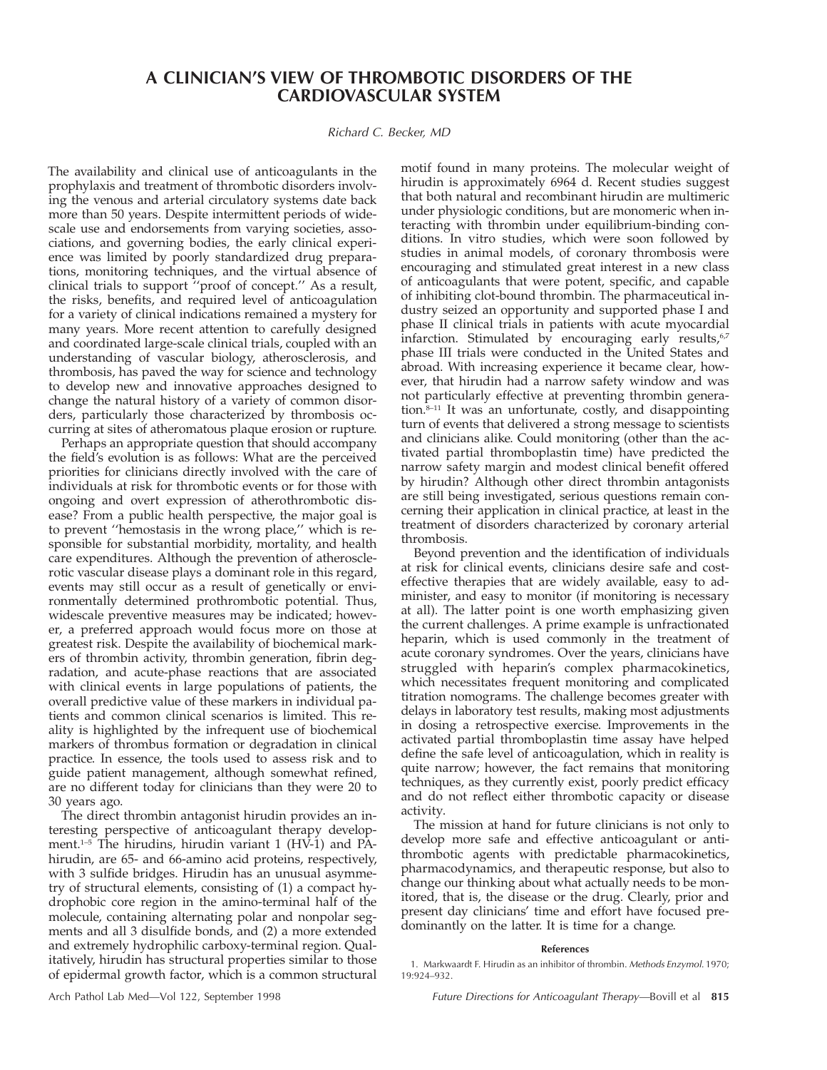## **A CLINICIAN'S VIEW OF THROMBOTIC DISORDERS OF THE CARDIOVASCULAR SYSTEM**

#### Richard C. Becker, MD

The availability and clinical use of anticoagulants in the prophylaxis and treatment of thrombotic disorders involving the venous and arterial circulatory systems date back more than 50 years. Despite intermittent periods of widescale use and endorsements from varying societies, associations, and governing bodies, the early clinical experience was limited by poorly standardized drug preparations, monitoring techniques, and the virtual absence of clinical trials to support ''proof of concept.'' As a result, the risks, benefits, and required level of anticoagulation for a variety of clinical indications remained a mystery for many years. More recent attention to carefully designed and coordinated large-scale clinical trials, coupled with an understanding of vascular biology, atherosclerosis, and thrombosis, has paved the way for science and technology to develop new and innovative approaches designed to change the natural history of a variety of common disorders, particularly those characterized by thrombosis occurring at sites of atheromatous plaque erosion or rupture.

Perhaps an appropriate question that should accompany the field's evolution is as follows: What are the perceived priorities for clinicians directly involved with the care of individuals at risk for thrombotic events or for those with ongoing and overt expression of atherothrombotic disease? From a public health perspective, the major goal is to prevent ''hemostasis in the wrong place,'' which is responsible for substantial morbidity, mortality, and health care expenditures. Although the prevention of atherosclerotic vascular disease plays a dominant role in this regard, events may still occur as a result of genetically or environmentally determined prothrombotic potential. Thus, widescale preventive measures may be indicated; however, a preferred approach would focus more on those at greatest risk. Despite the availability of biochemical markers of thrombin activity, thrombin generation, fibrin degradation, and acute-phase reactions that are associated with clinical events in large populations of patients, the overall predictive value of these markers in individual patients and common clinical scenarios is limited. This reality is highlighted by the infrequent use of biochemical markers of thrombus formation or degradation in clinical practice. In essence, the tools used to assess risk and to guide patient management, although somewhat refined, are no different today for clinicians than they were 20 to 30 years ago.

The direct thrombin antagonist hirudin provides an interesting perspective of anticoagulant therapy development. $1-5$  The hirudins, hirudin variant 1 (HV-1) and PAhirudin, are 65- and 66-amino acid proteins, respectively, with 3 sulfide bridges. Hirudin has an unusual asymmetry of structural elements, consisting of (1) a compact hydrophobic core region in the amino-terminal half of the molecule, containing alternating polar and nonpolar segments and all 3 disulfide bonds, and (2) a more extended and extremely hydrophilic carboxy-terminal region. Qualitatively, hirudin has structural properties similar to those of epidermal growth factor, which is a common structural motif found in many proteins. The molecular weight of hirudin is approximately 6964 d. Recent studies suggest that both natural and recombinant hirudin are multimeric under physiologic conditions, but are monomeric when interacting with thrombin under equilibrium-binding conditions. In vitro studies, which were soon followed by studies in animal models, of coronary thrombosis were encouraging and stimulated great interest in a new class of anticoagulants that were potent, specific, and capable of inhibiting clot-bound thrombin. The pharmaceutical industry seized an opportunity and supported phase I and phase II clinical trials in patients with acute myocardial infarction. Stimulated by encouraging early results,<sup>6,7</sup> phase III trials were conducted in the United States and abroad. With increasing experience it became clear, however, that hirudin had a narrow safety window and was not particularly effective at preventing thrombin generation.8–11 It was an unfortunate, costly, and disappointing turn of events that delivered a strong message to scientists and clinicians alike. Could monitoring (other than the activated partial thromboplastin time) have predicted the narrow safety margin and modest clinical benefit offered by hirudin? Although other direct thrombin antagonists are still being investigated, serious questions remain concerning their application in clinical practice, at least in the treatment of disorders characterized by coronary arterial thrombosis.

Beyond prevention and the identification of individuals at risk for clinical events, clinicians desire safe and costeffective therapies that are widely available, easy to administer, and easy to monitor (if monitoring is necessary at all). The latter point is one worth emphasizing given the current challenges. A prime example is unfractionated heparin, which is used commonly in the treatment of acute coronary syndromes. Over the years, clinicians have struggled with heparin's complex pharmacokinetics, which necessitates frequent monitoring and complicated titration nomograms. The challenge becomes greater with delays in laboratory test results, making most adjustments in dosing a retrospective exercise. Improvements in the activated partial thromboplastin time assay have helped define the safe level of anticoagulation, which in reality is quite narrow; however, the fact remains that monitoring techniques, as they currently exist, poorly predict efficacy and do not reflect either thrombotic capacity or disease activity.

The mission at hand for future clinicians is not only to develop more safe and effective anticoagulant or antithrombotic agents with predictable pharmacokinetics, pharmacodynamics, and therapeutic response, but also to change our thinking about what actually needs to be monitored, that is, the disease or the drug. Clearly, prior and present day clinicians' time and effort have focused predominantly on the latter. It is time for a change.

#### **References**

1. Markwaardt F. Hirudin as an inhibitor of thrombin. Methods Enzymol. 1970; 19:924–932.